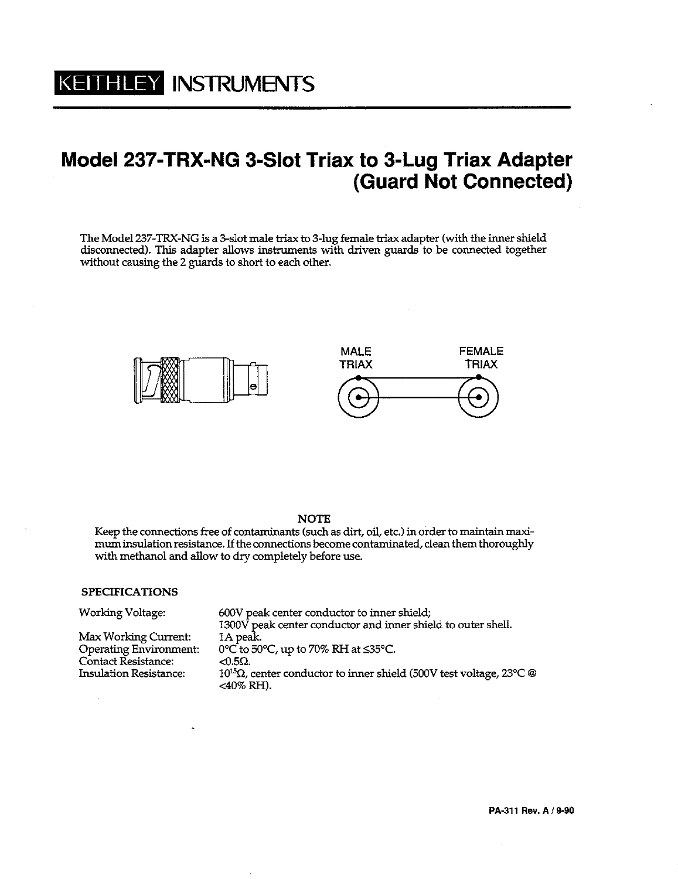## Model 237-TRX-NG 3-Slot Triax to 3-Lug Triax Adapter (Guard Not Connected)

The Model 237-TRX-NG is a 3-slot male triax to 3-lug female triax adapter (with the inner shield disconnected). This adapter allows instruments with driven guards to be connected together without causing the 2 guards to short to each other.



## **NOTE**

Keep the connections free of contaminants (such as dirt, oil, etc.) in order to maintain maximum insulation resistance. If the connections become contaminated, clean them thoroughly with methanol and allow to dry completely before use.

## **SPECIFICATIONS**

| <b>Working Voltage:</b>       | 600V peak center conductor to inner shield;                                           |
|-------------------------------|---------------------------------------------------------------------------------------|
|                               | 1300V peak center conductor and inner shield to outer shell.                          |
| Max Working Current:          | 1A peak.                                                                              |
| <b>Operating Environment:</b> | 0°C to 50°C, up to 70% RH at ≤35°C.                                                   |
| <b>Contact Resistance:</b>    | $< 0.5\Omega$ .                                                                       |
| <b>Insulation Resistance:</b> | $10^{15}$ Ω, center conductor to inner shield (500V test voltage, 23°C @<br><40% RH). |